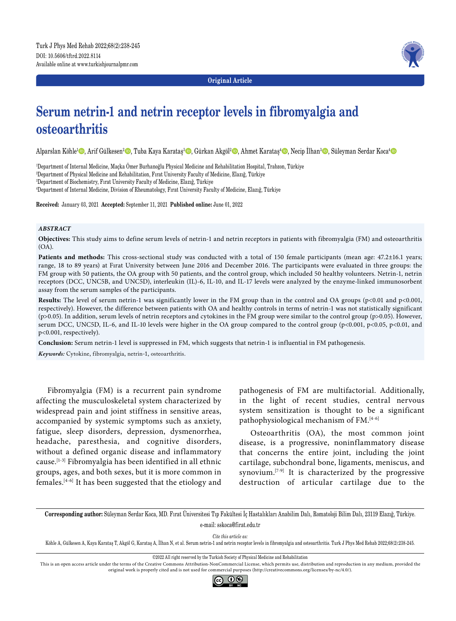

**Original Article**

# **Serum netrin-1 and netrin receptor levels in fibromyalgia and osteoarthritis**

Alparslan Köhle<sup>1</sup>©, Arif Gülkesen<sup>2</sup>©, Tuba Kaya Karataş<sup>3</sup>©, Gürkan Akgöl<sup>2</sup>©, Ahmet Karataş<sup>4</sup>©, Necip İlhan<sup>3</sup>©, Süleyman Serdar Koca<sup>4</sup>©

1 Department of Internal Medicine, Maçka Ömer Burhanoğlu Physical Medicine and Rehabilitation Hospital, Trabzon, Türkiye 2 Department of Physical Medicine and Rehabilitation, Fırat University Faculty of Medicine, Elazığ, Türkiye 3 Department of Biochemistry, Fırat University Faculty of Medicine, Elazığ, Türkiye

4 Department of Internal Medicine, Division of Rheumatology, Fırat University Faculty of Medicine, Elazığ, Türkiye

**Received:** January 03, 2021 **Accepted:** September 11, 2021 **Published online:** June 01, 2022

#### *ABSTRACT*

**Objectives:** This study aims to define serum levels of netrin-1 and netrin receptors in patients with fibromyalgia (FM) and osteoarthritis  $(OA)$ .

**Patients and methods:** This cross-sectional study was conducted with a total of 150 female participants (mean age: 47.2±16.1 years; range, 18 to 89 years) at Fırat University between June 2016 and December 2016. The participants were evaluated in three groups: the FM group with 50 patients, the OA group with 50 patients, and the control group, which included 50 healthy volunteers. Netrin-1, netrin receptors (DCC, UNC5B, and UNC5D), interleukin (IL)-6, IL-10, and IL-17 levels were analyzed by the enzyme-linked immunosorbent assay from the serum samples of the participants.

**Results:** The level of serum netrin-1 was significantly lower in the FM group than in the control and OA groups (p<0.01 and p<0.001, respectively). However, the difference between patients with OA and healthy controls in terms of netrin-1 was not statistically significant (p>0.05). In addition, serum levels of netrin receptors and cytokines in the FM group were similar to the control group (p>0.05). However, serum DCC, UNC5D, IL-6, and IL-10 levels were higher in the OA group compared to the control group (p<0.001, p<0.05, p<0.01, and p<0.001, respectively).

**Conclusion:** Serum netrin-1 level is suppressed in FM, which suggests that netrin-1 is influential in FM pathogenesis.

*Keywords:* Cytokine, fibromyalgia, netrin-1, osteoarthritis.

Fibromyalgia (FM) is a recurrent pain syndrome affecting the musculoskeletal system characterized by widespread pain and joint stiffness in sensitive areas, accompanied by systemic symptoms such as anxiety, fatigue, sleep disorders, depression, dysmenorrhea, headache, paresthesia, and cognitive disorders, without a defined organic disease and inflammatory cause.[1-3] Fibromyalgia has been identified in all ethnic groups, ages, and both sexes, but it is more common in females.[4-6] It has been suggested that the etiology and pathogenesis of FM are multifactorial. Additionally, in the light of recent studies, central nervous system sensitization is thought to be a significant pathophysiological mechanism of  $FM.$ <sup>[4-6]</sup>

Osteoarthritis (OA), the most common joint disease, is a progressive, noninflammatory disease that concerns the entire joint, including the joint cartilage, subchondral bone, ligaments, meniscus, and synovium.[7-9] It is characterized by the progressive destruction of articular cartilage due to the

**Corresponding author:** Süleyman Serdar Koca, MD. Fırat Üniversitesi Tıp Fakültesi İç Hastalıkları Anabilim Dalı, Romatoloji Bilim Dalı, 23119 Elazığ, Türkiye. e-mail: sskoca@firat.edu.tr

*Cite this article as:*

Köhle A, Gülkesen A, Kaya Karataş T, Akgöl G, Karataş A, İlhan N, et al. Serum netrin-1 and netrin receptor levels in fibromyalgia and osteoarthritis. Turk J Phys Med Rehab 2022;68(2):238-245.

©2022 All right reserved by the Turkish Society of Physical Medicine and Rehabilitation

This is an open access article under the terms of the Creative Commons Attribution-NonCommercial License, which permits use, distribution and reproduction in any medium, provided the original work is properly cited and is not used for commercial purposes (http://creativecommons.org/licenses/by-nc/4.0/).

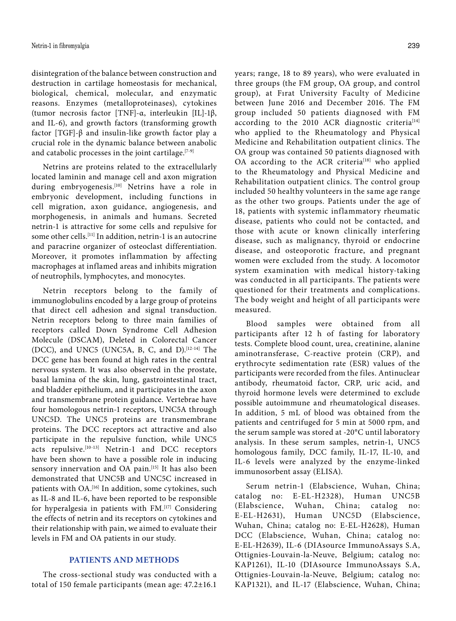disintegration of the balance between construction and destruction in cartilage homeostasis for mechanical, biological, chemical, molecular, and enzymatic reasons. Enzymes (metalloproteinases), cytokines (tumor necrosis factor [TNF]-α, interleukin [IL]-1β, and IL-6), and growth factors (transforming growth factor [TGF]-β and insulin-like growth factor play a crucial role in the dynamic balance between anabolic and catabolic processes in the joint cartilage.  $[7-9]$ 

Netrins are proteins related to the extracellularly located laminin and manage cell and axon migration during embryogenesis.<sup>[10]</sup> Netrins have a role in embryonic development, including functions in cell migration, axon guidance, angiogenesis, and morphogenesis, in animals and humans. Secreted netrin-1 is attractive for some cells and repulsive for some other cells.<sup>[11]</sup> In addition, netrin-1 is an autocrine and paracrine organizer of osteoclast differentiation. Moreover, it promotes inflammation by affecting macrophages at inflamed areas and inhibits migration of neutrophils, lymphocytes, and monocytes.

Netrin receptors belong to the family of immunoglobulins encoded by a large group of proteins that direct cell adhesion and signal transduction. Netrin receptors belong to three main families of receptors called Down Syndrome Cell Adhesion Molecule (DSCAM), Deleted in Colorectal Cancer (DCC), and UNC5 (UNC5A, B, C, and D).[12-14] The DCC gene has been found at high rates in the central nervous system. It was also observed in the prostate, basal lamina of the skin, lung, gastrointestinal tract, and bladder epithelium, and it participates in the axon and transmembrane protein guidance. Vertebrae have four homologous netrin-1 receptors, UNC5A through UNC5D. The UNC5 proteins are transmembrane proteins. The DCC receptors act attractive and also participate in the repulsive function, while UNC5 acts repulsive.<sup>[10-13]</sup> Netrin-1 and DCC receptors have been shown to have a possible role in inducing sensory innervation and OA pain.<sup>[15]</sup> It has also been demonstrated that UNC5B and UNC5C increased in patients with OA.<sup>[16]</sup> In addition, some cytokines, such as IL-8 and IL-6, have been reported to be responsible for hyperalgesia in patients with FM.[17] Considering the effects of netrin and its receptors on cytokines and their relationship with pain, we aimed to evaluate their levels in FM and OA patients in our study.

## **PATIENTS AND METHODS**

The cross-sectional study was conducted with a total of 150 female participants (mean age: 47.2±16.1 years; range, 18 to 89 years), who were evaluated in three groups (the FM group, OA group, and control group), at Fırat University Faculty of Medicine between June 2016 and December 2016. The FM group included 50 patients diagnosed with FM according to the 2010 ACR diagnostic criteria<sup>[14]</sup> who applied to the Rheumatology and Physical Medicine and Rehabilitation outpatient clinics. The OA group was contained 50 patients diagnosed with OA according to the ACR criteria<sup>[18]</sup> who applied to the Rheumatology and Physical Medicine and Rehabilitation outpatient clinics. The control group included 50 healthy volunteers in the same age range as the other two groups. Patients under the age of 18, patients with systemic inflammatory rheumatic disease, patients who could not be contacted, and those with acute or known clinically interfering disease, such as malignancy, thyroid or endocrine disease, and osteoporotic fracture, and pregnant women were excluded from the study. A locomotor system examination with medical history-taking was conducted in all participants. The patients were questioned for their treatments and complications. The body weight and height of all participants were measured.

Blood samples were obtained from all participants after 12 h of fasting for laboratory tests. Complete blood count, urea, creatinine, alanine aminotransferase, C-reactive protein (CRP), and erythrocyte sedimentation rate (ESR) values of the participants were recorded from the files. Antinuclear antibody, rheumatoid factor, CRP, uric acid, and thyroid hormone levels were determined to exclude possible autoimmune and rheumatological diseases. In addition, 5 mL of blood was obtained from the patients and centrifuged for 5 min at 5000 rpm, and the serum sample was stored at -20°C until laboratory analysis. In these serum samples, netrin-1, UNC5 homologous family, DCC family, IL-17, IL-10, and IL-6 levels were analyzed by the enzyme-linked immunosorbent assay (ELISA).

Serum netrin-1 (Elabscience, Wuhan, China; catalog no: E-EL-H2328), Human UNC5B (Elabscience, Wuhan, China; catalog no: E-EL-H2631), Human UNC5D (Elabscience, Wuhan, China; catalog no: E-EL-H2628), Human DCC (Elabscience, Wuhan, China; catalog no: E-EL-H2639), IL-6 (DIAsource ImmunoAssays S.A, Ottignies-Louvain-la-Neuve, Belgium; catalog no: KAP1261), IL-10 (DIAsource ImmunoAssays S.A, Ottignies-Louvain-la-Neuve, Belgium; catalog no: KAP1321), and IL-17 (Elabscience, Wuhan, China;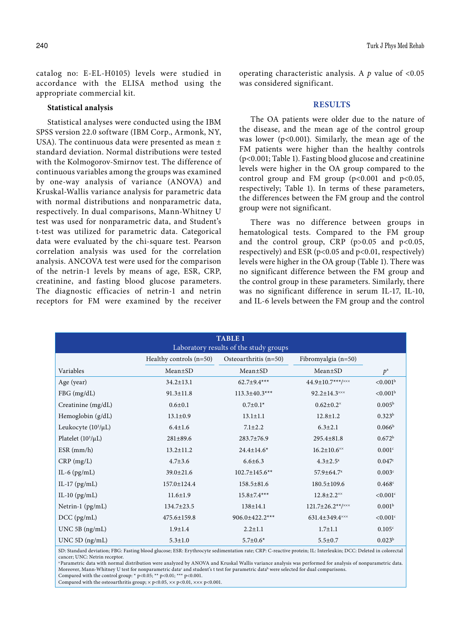catalog no: E-EL-H0105) levels were studied in accordance with the ELISA method using the appropriate commercial kit.

### **Statistical analysis**

Statistical analyses were conducted using the IBM SPSS version 22.0 software (IBM Corp., Armonk, NY, USA). The continuous data were presented as mean ± standard deviation. Normal distributions were tested with the Kolmogorov-Smirnov test. The difference of continuous variables among the groups was examined by one-way analysis of variance (ANOVA) and Kruskal-Wallis variance analysis for parametric data with normal distributions and nonparametric data, respectively. In dual comparisons, Mann-Whitney U test was used for nonparametric data, and Student's t-test was utilized for parametric data. Categorical data were evaluated by the chi-square test. Pearson correlation analysis was used for the correlation analysis. ANCOVA test were used for the comparison of the netrin-1 levels by means of age, ESR, CRP, creatinine, and fasting blood glucose parameters. The diagnostic efficacies of netrin-1 and netrin receptors for FM were examined by the receiver operating characteristic analysis. A *p* value of <0.05 was considered significant.

### **RESULTS**

The OA patients were older due to the nature of the disease, and the mean age of the control group was lower ( $p$ <0.001). Similarly, the mean age of the FM patients were higher than the healthy controls (p<0.001; Table 1). Fasting blood glucose and creatinine levels were higher in the OA group compared to the control group and FM group  $(p<0.001$  and  $p<0.05$ , respectively; Table 1). In terms of these parameters, the differences between the FM group and the control group were not significant.

There was no difference between groups in hematological tests. Compared to the FM group and the control group, CRP ( $p > 0.05$  and  $p < 0.05$ , respectively) and ESR (p<0.05 and p<0.01, respectively) levels were higher in the OA group (Table 1). There was no significant difference between the FM group and the control group in these parameters. Similarly, there was no significant difference in serum IL-17, IL-10, and IL-6 levels between the FM group and the control

| <b>TABLE 1</b><br>Laboratory results of the study groups |                           |                       |                                        |                        |  |
|----------------------------------------------------------|---------------------------|-----------------------|----------------------------------------|------------------------|--|
|                                                          | Healthy controls $(n=50)$ | Osteoarthritis (n=50) | Fibromyalgia (n=50)                    |                        |  |
| Variables                                                | $Mean \pm SD$             | $Mean \pm SD$         | $Mean \pm SD$                          | $p^a$                  |  |
| Age (year)                                               | $34.2 \pm 13.1$           | $62.7 \pm 9.4***$     | $44.9 \pm 10.7***$                     | $< 0.001^b$            |  |
| FBG (mg/dL)                                              | $91.3 \pm 11.8$           | $113.3 \pm 40.3***$   | $92.2 \pm 14.3^{\times \times \times}$ | $< 0.001^b$            |  |
| Creatinine (mg/dL)                                       | $0.6{\pm}0.1$             | $0.7 \pm 0.1*$        | $0.62 \pm 0.2$                         | $0.005^{b}$            |  |
| Hemoglobin (g/dL)                                        | $13.1 \pm 0.9$            | $13.1 \pm 1.1$        | $12.8 \pm 1.2$                         | 0.323 <sup>b</sup>     |  |
| Leukocyte $(10^3/\mu L)$                                 | $6.4 \pm 1.6$             | $7.1 \pm 2.2$         | $6.3 \pm 2.1$                          | 0.066 <sup>b</sup>     |  |
| Platelet $(10^3/\mu L)$                                  | $281 \pm 89.6$            | $283.7 \pm 76.9$      | $295.4 \pm 81.8$                       | $0.672^b$              |  |
| $ESR$ (mm/h)                                             | $13.2 \pm 11.2$           | $24.4 \pm 14.6*$      | $16.2 \pm 10.6^{\times \times}$        | 0.001 <sup>c</sup>     |  |
| $CRP$ (mg/L)                                             | $4.7 \pm 3.6$             | $6.6 \pm 6.3$         | $4.3 \pm 2.5$ <sup>x</sup>             | 0.047 <sup>c</sup>     |  |
| IL-6 $(pg/mL)$                                           | $39.0 \pm 21.6$           | $102.7 \pm 145.6**$   | $57.9 \pm 64.7$ <sup>x</sup>           | 0.003c                 |  |
| IL-17 $(pg/mL)$                                          | 157.0±124.4               | $158.5 \pm 81.6$      | $180.5 \pm 109.6$                      | 0.468c                 |  |
| IL-10 $(pg/mL)$                                          | $11.6 \pm 1.9$            | $15.8 \pm 7.4***$     | $12.8 \pm 2.2$ <sup>**</sup>           | $< 0.001$ c            |  |
| Netrin-1 (pg/mL)                                         | 134.7±23.5                | $138 \pm 14.1$        | $121.7 \pm 26.2$ **/***                | 0.001 <sup>b</sup>     |  |
| DCC (pg/mL)                                              | $475.6 \pm 159.8$         | $906.0 \pm 422.2$ *** | 631.4±349.4 $***$                      | $< 0.001$ <sup>c</sup> |  |
| UNC 5B (ng/mL)                                           | $1.9 \pm 1.4$             | $2.2 \pm 1.1$         | $1.7 \pm 1.1$                          | 0.105c                 |  |
| UNC 5D (ng/mL)                                           | $5.3 \pm 1.0$             | $5.7 \pm 0.6*$        | $5.5 \pm 0.7$                          | 0.023 <sup>b</sup>     |  |

SD: Standard deviation; FBG: Fasting blood glucose; ESR: Erythrocyte sedimentation rate; CRP: C-reactive protein; IL: Interleukin; DCC: Deleted in colorectal cancer; UNC: Netrin receptor.

a Parametric data with normal distribution were analyzed by ANOVA and Kruskal Wallis variance analysis was performed for analysis of nonparametric data. Moreover, Mann-Whitney U test for nonparametric data<sup>c</sup> and student's t test for parametric data<sup>b</sup> were selected for dual comparisons. Compared with the control group: \*  $p<0.05$ ; \*\*  $p<0.01$ ; \*\*\*  $p<0.001$ .

Compared with the osteoarthritis group;  $\times$  p<0.05,  $\times\times$  p<0.01,  $\times\times$  p<0.001.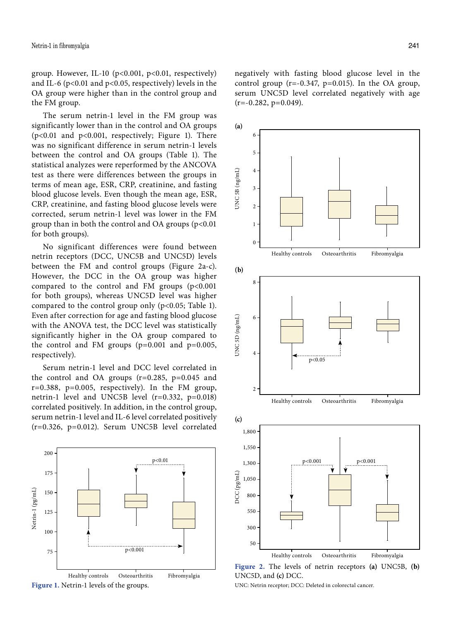group. However, IL-10 (p<0.001, p<0.01, respectively) and IL-6 ( $p$ <0.01 and  $p$ <0.05, respectively) levels in the OA group were higher than in the control group and the FM group.

The serum netrin-1 level in the FM group was significantly lower than in the control and OA groups (p<0.01 and p<0.001, respectively; Figure 1). There was no significant difference in serum netrin-1 levels between the control and OA groups (Table 1). The statistical analyzes were reperformed by the ANCOVA test as there were differences between the groups in terms of mean age, ESR, CRP, creatinine, and fasting blood glucose levels. Even though the mean age, ESR, CRP, creatinine, and fasting blood glucose levels were corrected, serum netrin-1 level was lower in the FM group than in both the control and OA groups (p<0.01 for both groups).

No significant differences were found between netrin receptors (DCC, UNC5B and UNC5D) levels between the FM and control groups (Figure 2a-c). However, the DCC in the OA group was higher compared to the control and FM groups  $(p<0.001)$ for both groups), whereas UNC5D level was higher compared to the control group only (p<0.05; Table 1). Even after correction for age and fasting blood glucose with the ANOVA test, the DCC level was statistically significantly higher in the OA group compared to the control and FM groups  $(p=0.001$  and  $p=0.005$ , respectively).

Serum netrin-1 level and DCC level correlated in the control and OA groups (r=0.285, p=0.045 and r=0.388, p=0.005, respectively). In the FM group, netrin-1 level and UNC5B level (r=0.332, p=0.018) correlated positively. In addition, in the control group, serum netrin-1 level and IL-6 level correlated positively (r=0.326, p=0.012). Serum UNC5B level correlated



negatively with fasting blood glucose level in the control group  $(r=-0.347, p=0.015)$ . In the OA group, serum UNC5D level correlated negatively with age  $(r=-0.282, p=0.049).$ 



UNC5D, and **(c)** DCC.

UNC: Netrin receptor; DCC: Deleted in colorectal cancer.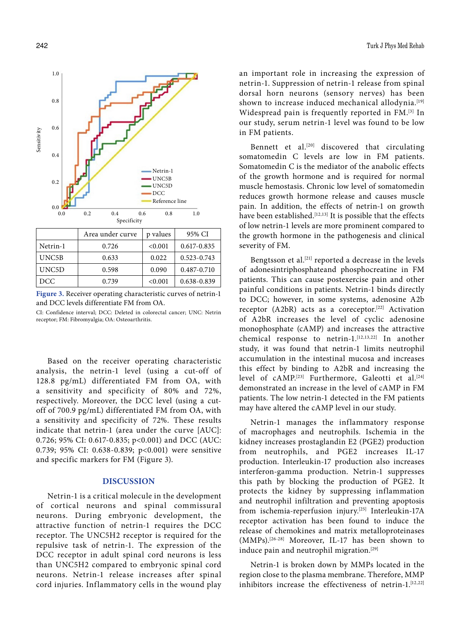

| Netrin-1 | 0.726 | <0.001 | $0.617 - 0.835$ |
|----------|-------|--------|-----------------|
| UNC5B    | 0.633 | 0.022  | $0.523 - 0.743$ |
| UNC5D    | 0.598 | 0.090  | $0.487 - 0.710$ |
| DCC.     | 0.739 | <0.001 | 0.638-0.839     |

**Figure 3.** Receiver operating characteristic curves of netrin-1 and DCC levels differentiate FM from OA.

CI: Confidence interval; DCC: Deleted in colorectal cancer; UNC: Netrin receptor; FM: Fibromyalgia; OA: Osteoarthritis.

Based on the receiver operating characteristic analysis, the netrin-1 level (using a cut-off of 128.8 pg/mL) differentiated FM from OA, with a sensitivity and specificity of 80% and 72%, respectively. Moreover, the DCC level (using a cutoff of 700.9 pg/mL) differentiated FM from OA, with a sensitivity and specificity of 72%. These results indicate that netrin-1 (area under the curve [AUC]: 0.726; 95% CI: 0.617-0.835; p<0.001) and DCC (AUC: 0.739; 95% CI: 0.638-0.839; p<0.001) were sensitive and specific markers for FM (Figure 3).

## **DISCUSSION**

Netrin-1 is a critical molecule in the development of cortical neurons and spinal commissural neurons. During embryonic development, the attractive function of netrin-1 requires the DCC receptor. The UNC5H2 receptor is required for the repulsive task of netrin-1. The expression of the DCC receptor in adult spinal cord neurons is less than UNC5H2 compared to embryonic spinal cord neurons. Netrin-1 release increases after spinal cord injuries. Inflammatory cells in the wound play an important role in increasing the expression of netrin-1. Suppression of netrin-1 release from spinal dorsal horn neurons (sensory nerves) has been shown to increase induced mechanical allodynia.<sup>[19]</sup> Widespread pain is frequently reported in FM.[3] In our study, serum netrin-1 level was found to be low in FM patients.

Bennett et al.<sup>[20]</sup> discovered that circulating somatomedin C levels are low in FM patients. Somatomedin C is the mediator of the anabolic effects of the growth hormone and is required for normal muscle hemostasis. Chronic low level of somatomedin reduces growth hormone release and causes muscle pain. In addition, the effects of netrin-1 on growth have been established.<sup>[12,13]</sup> It is possible that the effects of low netrin-1 levels are more prominent compared to the growth hormone in the pathogenesis and clinical severity of FM.

Bengtsson et al.<sup>[21]</sup> reported a decrease in the levels of adonesintriphosphateand phosphocreatine in FM patients. This can cause postexercise pain and other painful conditions in patients. Netrin-1 binds directly to DCC; however, in some systems, adenosine A2b receptor (A2bR) acts as a coreceptor.[22] Activation of A2bR increases the level of cyclic adenosine monophosphate (cAMP) and increases the attractive chemical response to netrin-1.[12,13,22] In another study, it was found that netrin-1 limits neutrophil accumulation in the intestinal mucosa and increases this effect by binding to A2bR and increasing the level of cAMP.<sup>[23]</sup> Furthermore, Galeotti et al.<sup>[24]</sup> demonstrated an increase in the level of cAMP in FM patients. The low netrin-1 detected in the FM patients may have altered the cAMP level in our study.

Netrin-1 manages the inflammatory response of macrophages and neutrophils. Ischemia in the kidney increases prostaglandin E2 (PGE2) production from neutrophils, and PGE2 increases IL-17 production. Interleukin-17 production also increases interferon-gamma production. Netrin-1 suppresses this path by blocking the production of PGE2. It protects the kidney by suppressing inflammation and neutrophil infiltration and preventing apoptosis from ischemia-reperfusion injury.[25] Interleukin-17A receptor activation has been found to induce the release of chemokines and matrix metalloproteinases (MMPs).[26-28] Moreover, IL-17 has been shown to induce pain and neutrophil migration.<sup>[29]</sup>

Netrin-1 is broken down by MMPs located in the region close to the plasma membrane. Therefore, MMP inhibitors increase the effectiveness of netrin- $1$ .<sup>[12,22]</sup>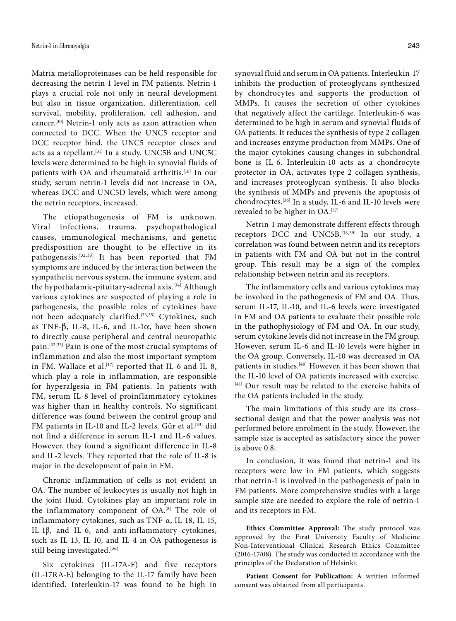Matrix metalloproteinases can be held responsible for decreasing the netrin-1 level in FM patients. Netrin-1 plays a crucial role not only in neural development but also in tissue organization, differentiation, cell survival, mobility, proliferation, cell adhesion, and cancer.[30] Netrin-1 only acts as axon attraction when connected to DCC. When the UNC5 receptor and DCC receptor bind, the UNC5 receptor closes and acts as a repellant.[31] In a study, UNC5B and UNC5C levels were determined to be high in synovial fluids of patients with OA and rheumatoid arthritis.<sup>[16]</sup> In our study, serum netrin-1 levels did not increase in OA, whereas DCC and UNC5D levels, which were among the netrin receptors, increased.

The etiopathogenesis of FM is unknown. Viral infections, trauma, psychopathological causes, immunological mechanisms, and genetic predisposition are thought to be effective in its pathogenesis.[32,33] It has been reported that FM symptoms are induced by the interaction between the sympathetic nervous system, the immune system, and the hypothalamic-pituitary-adrenal axis.[34] Although various cytokines are suspected of playing a role in pathogenesis, the possible roles of cytokines have not been adequately clarified.<sup>[33,35]</sup> Cytokines, such as TNF- $\beta$ , IL-8, IL-6, and IL-1 $\alpha$ , have been shown to directly cause peripheral and central neuropathic pain.[32,33] Pain is one of the most crucial symptoms of inflammation and also the most important symptom in FM. Wallace et al.<sup>[17]</sup> reported that IL-6 and IL-8, which play a role in inflammation, are responsible for hyperalgesia in FM patients. In patients with FM, serum IL-8 level of proinflammatory cytokines was higher than in healthy controls. No significant difference was found between the control group and FM patients in IL-10 and IL-2 levels. Gür et al.<sup>[33]</sup> did not find a difference in serum IL-1 and IL-6 values. However, they found a significant difference in IL-8 and IL-2 levels. They reported that the role of IL-8 is major in the development of pain in FM.

Chronic inflammation of cells is not evident in OA. The number of leukocytes is usually not high in the joint fluid. Cytokines play an important role in the inflammatory component of OA.<sup>[8]</sup> The role of inflammatory cytokines, such as TNF-α, IL-18, IL-15, IL-1β, and IL-6, and anti-inflammatory cytokines, such as IL-13, IL-10, and IL-4 in OA pathogenesis is still being investigated.<sup>[36]</sup>

Six cytokines (IL-17A-F) and five receptors (IL-17RA-E) belonging to the IL-17 family have been identified. Interleukin-17 was found to be high in synovial fluid and serum in OA patients. Interleukin-17 inhibits the production of proteoglycans synthesized by chondrocytes and supports the production of MMPs. It causes the secretion of other cytokines that negatively affect the cartilage. Interleukin-6 was determined to be high in serum and synovial fluids of OA patients. It reduces the synthesis of type 2 collagen and increases enzyme production from MMPs. One of the major cytokines causing changes in subchondral bone is IL-6. Interleukin-10 acts as a chondrocyte protector in OA, activates type 2 collagen synthesis, and increases proteoglycan synthesis. It also blocks the synthesis of MMPs and prevents the apoptosis of chondrocytes.[36] In a study, IL-6 and IL-10 levels were revealed to be higher in OA.<sup>[37]</sup>

Netrin-1 may demonstrate different effects through receptors DCC and UNC5B.[38,39] In our study, a correlation was found between netrin and its receptors in patients with FM and OA but not in the control group. This result may be a sign of the complex relationship between netrin and its receptors.

The inflammatory cells and various cytokines may be involved in the pathogenesis of FM and OA. Thus, serum IL-17, IL-10, and IL-6 levels were investigated in FM and OA patients to evaluate their possible role in the pathophysiology of FM and OA. In our study, serum cytokine levels did not increase in the FM group. However, serum IL-6 and IL-10 levels were higher in the OA group. Conversely, IL-10 was decreased in OA patients in studies.[40] However, it has been shown that the IL-10 level of OA patients increased with exercise. [41] Our result may be related to the exercise habits of the OA patients included in the study.

The main limitations of this study are its crosssectional design and that the power analysis was not performed before enrolment in the study. However, the sample size is accepted as satisfactory since the power is above 0.8.

In conclusion, it was found that netrin-1 and its receptors were low in FM patients, which suggests that netrin-1 is involved in the pathogenesis of pain in FM patients. More comprehensive studies with a large sample size are needed to explore the role of netrin-1 and its receptors in FM.

**Ethics Committee Approval:** The study protocol was approved by the Fırat University Faculty of Medicine Non-Interventional Clinical Research Ethics Committee (2016-17/08). The study was conducted in accordance with the principles of the Declaration of Helsinki.

**Patient Consent for Publication:** A written informed consent was obtained from all participants.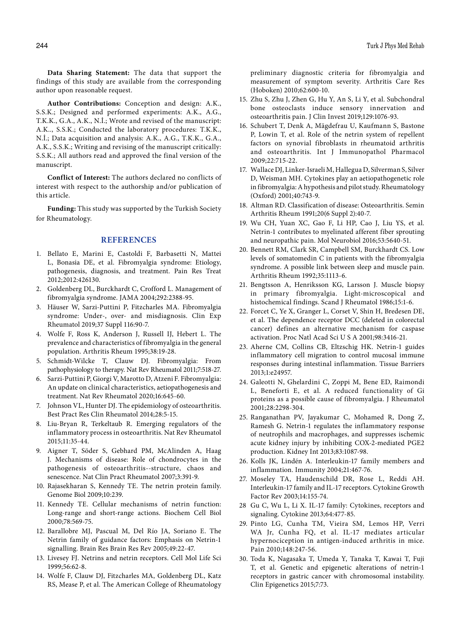**Data Sharing Statement:** The data that support the findings of this study are available from the corresponding author upon reasonable request.

**Author Contributions:** Conception and design: A.K., S.S.K.; Designed and performed experiments: A.K., A.G., T.K.K., G.A., A.K., N.İ.; Wrote and revised of the manuscript: A.K.., S.S.K.; Conducted the laboratory procedures: T.K.K., N.İ.; Data acquisition and analysis: A.K., A.G., T.K.K., G.A., A.K., S.S.K.; Writing and revising of the manuscript critically: S.S.K.; All authors read and approved the final version of the manuscript.

**Conflict of Interest:** The authors declared no conflicts of interest with respect to the authorship and/or publication of this article.

**Funding:** This study was supported by the Turkish Society for Rheumatology.

#### **REFERENCES**

- 1. Bellato E, Marini E, Castoldi F, Barbasetti N, Mattei L, Bonasia DE, et al. Fibromyalgia syndrome: Etiology, pathogenesis, diagnosis, and treatment. Pain Res Treat 2012;2012:426130.
- 2. Goldenberg DL, Burckhardt C, Crofford L. Management of fibromyalgia syndrome. JAMA 2004;292:2388-95.
- 3. Häuser W, Sarzi-Puttini P, Fitzcharles MA. Fibromyalgia syndrome: Under-, over- and misdiagnosis. Clin Exp Rheumatol 2019;37 Suppl 116:90-7.
- 4. Wolfe F, Ross K, Anderson J, Russell IJ, Hebert L. The prevalence and characteristics of fibromyalgia in the general population. Arthritis Rheum 1995;38:19-28.
- 5. Schmidt-Wilcke T, Clauw DJ. Fibromyalgia: From pathophysiology to therapy. Nat Rev Rheumatol 2011;7:518-27.
- 6. Sarzi-Puttini P, Giorgi V, Marotto D, Atzeni F. Fibromyalgia: An update on clinical characteristics, aetiopathogenesis and treatment. Nat Rev Rheumatol 2020;16:645-60.
- 7. Johnson VL, Hunter DJ. The epidemiology of osteoarthritis. Best Pract Res Clin Rheumatol 2014;28:5-15.
- 8. Liu-Bryan R, Terkeltaub R. Emerging regulators of the inflammatory process in osteoarthritis. Nat Rev Rheumatol 2015;11:35-44.
- 9. Aigner T, Söder S, Gebhard PM, McAlinden A, Haag J. Mechanisms of disease: Role of chondrocytes in the pathogenesis of osteoarthritis--structure, chaos and senescence. Nat Clin Pract Rheumatol 2007;3:391-9.
- 10. Rajasekharan S, Kennedy TE. The netrin protein family. Genome Biol 2009;10:239.
- 11. Kennedy TE. Cellular mechanisms of netrin function: Long-range and short-range actions. Biochem Cell Biol 2000;78:569-75.
- 12. Barallobre MJ, Pascual M, Del Río JA, Soriano E. The Netrin family of guidance factors: Emphasis on Netrin-1 signalling. Brain Res Brain Res Rev 2005;49:22-47.
- 13. Livesey FJ. Netrins and netrin receptors. Cell Mol Life Sci 1999;56:62-8.
- 14. Wolfe F, Clauw DJ, Fitzcharles MA, Goldenberg DL, Katz RS, Mease P, et al. The American College of Rheumatology

preliminary diagnostic criteria for fibromyalgia and measurement of symptom severity. Arthritis Care Res (Hoboken) 2010;62:600-10.

- 15. Zhu S, Zhu J, Zhen G, Hu Y, An S, Li Y, et al. Subchondral bone osteoclasts induce sensory innervation and osteoarthritis pain. J Clin Invest 2019;129:1076-93.
- 16. Schubert T, Denk A, Mägdefrau U, Kaufmann S, Bastone P, Lowin T, et al. Role of the netrin system of repellent factors on synovial fibroblasts in rheumatoid arthritis and osteoarthritis. Int J Immunopathol Pharmacol 2009;22:715-22.
- 17. Wallace DJ, Linker-Israeli M, Hallegua D, Silverman S, Silver D, Weisman MH. Cytokines play an aetiopathogenetic role in fibromyalgia: A hypothesis and pilot study. Rheumatology (Oxford) 2001;40:743-9.
- 18. Altman RD. Classification of disease: Osteoarthritis. Semin Arthritis Rheum 1991;20(6 Suppl 2):40-7.
- 19. Wu CH, Yuan XC, Gao F, Li HP, Cao J, Liu YS, et al. Netrin-1 contributes to myelinated afferent fiber sprouting and neuropathic pain. Mol Neurobiol 2016;53:5640-51.
- 20. Bennett RM, Clark SR, Campbell SM, Burckhardt CS. Low levels of somatomedin C in patients with the fibromyalgia syndrome. A possible link between sleep and muscle pain. Arthritis Rheum 1992;35:1113-6.
- 21. Bengtsson A, Henriksson KG, Larsson J. Muscle biopsy in primary fibromyalgia. Light-microscopical and histochemical findings. Scand J Rheumatol 1986;15:1-6.
- 22. Forcet C, Ye X, Granger L, Corset V, Shin H, Bredesen DE, et al. The dependence receptor DCC (deleted in colorectal cancer) defines an alternative mechanism for caspase activation. Proc Natl Acad Sci U S A 2001;98:3416-21.
- 23. Aherne CM, Collins CB, Eltzschig HK. Netrin-1 guides inflammatory cell migration to control mucosal immune responses during intestinal inflammation. Tissue Barriers 2013;1:e24957.
- 24. Galeotti N, Ghelardini C, Zoppi M, Bene ED, Raimondi L, Beneforti E, et al. A reduced functionality of Gi proteins as a possible cause of fibromyalgia. J Rheumatol 2001;28:2298-304.
- 25. Ranganathan PV, Jayakumar C, Mohamed R, Dong Z, Ramesh G. Netrin-1 regulates the inflammatory response of neutrophils and macrophages, and suppresses ischemic acute kidney injury by inhibiting COX-2-mediated PGE2 production. Kidney Int 2013;83:1087-98.
- 26. Kolls JK, Lindén A. Interleukin-17 family members and inflammation. Immunity 2004;21:467-76.
- 27. Moseley TA, Haudenschild DR, Rose L, Reddi AH. Interleukin-17 family and IL-17 receptors. Cytokine Growth Factor Rev 2003;14:155-74.
- 28 Gu C, Wu L, Li X. IL-17 family: Cytokines, receptors and signaling. Cytokine 2013;64:477-85.
- 29. Pinto LG, Cunha TM, Vieira SM, Lemos HP, Verri WA Jr, Cunha FQ, et al. IL-17 mediates articular hypernociception in antigen-induced arthritis in mice. Pain 2010;148:247-56.
- 30. Toda K, Nagasaka T, Umeda Y, Tanaka T, Kawai T, Fuji T, et al. Genetic and epigenetic alterations of netrin-1 receptors in gastric cancer with chromosomal instability. Clin Epigenetics 2015;7:73.